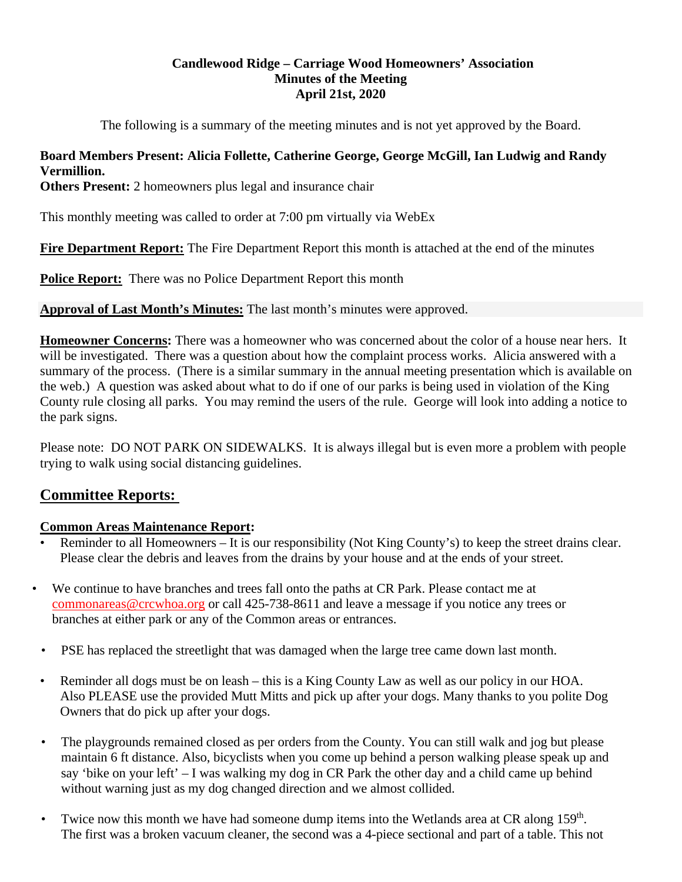#### **Candlewood Ridge – Carriage Wood Homeowners' Association Minutes of the Meeting April 21st, 2020**

The following is a summary of the meeting minutes and is not yet approved by the Board.

#### **Board Members Present: Alicia Follette, Catherine George, George McGill, Ian Ludwig and Randy Vermillion.**

**Others Present:** 2 homeowners plus legal and insurance chair

This monthly meeting was called to order at 7:00 pm virtually via WebEx

**Fire Department Report:** The Fire Department Report this month is attached at the end of the minutes

**Police Report:** There was no Police Department Report this month

**Approval of Last Month's Minutes:** The last month's minutes were approved.

**Homeowner Concerns:** There was a homeowner who was concerned about the color of a house near hers. It will be investigated. There was a question about how the complaint process works. Alicia answered with a summary of the process. (There is a similar summary in the annual meeting presentation which is available on the web.) A question was asked about what to do if one of our parks is being used in violation of the King County rule closing all parks. You may remind the users of the rule. George will look into adding a notice to the park signs.

Please note: DO NOT PARK ON SIDEWALKS. It is always illegal but is even more a problem with people trying to walk using social distancing guidelines.

# **Committee Reports:**

#### **Common Areas Maintenance Report:**

- Reminder to all Homeowners It is our responsibility (Not King County's) to keep the street drains clear. Please clear the debris and leaves from the drains by your house and at the ends of your street.
- We continue to have branches and trees fall onto the paths at CR Park. Please contact me at commonareas@crcwhoa.org or call 425-738-8611 and leave a message if you notice any trees or branches at either park or any of the Common areas or entrances.
	- PSE has replaced the streetlight that was damaged when the large tree came down last month.
	- Reminder all dogs must be on leash this is a King County Law as well as our policy in our HOA. Also PLEASE use the provided Mutt Mitts and pick up after your dogs. Many thanks to you polite Dog Owners that do pick up after your dogs.
	- The playgrounds remained closed as per orders from the County. You can still walk and jog but please maintain 6 ft distance. Also, bicyclists when you come up behind a person walking please speak up and say 'bike on your left' – I was walking my dog in CR Park the other day and a child came up behind without warning just as my dog changed direction and we almost collided.
	- Twice now this month we have had someone dump items into the Wetlands area at CR along  $159<sup>th</sup>$ . The first was a broken vacuum cleaner, the second was a 4-piece sectional and part of a table. This not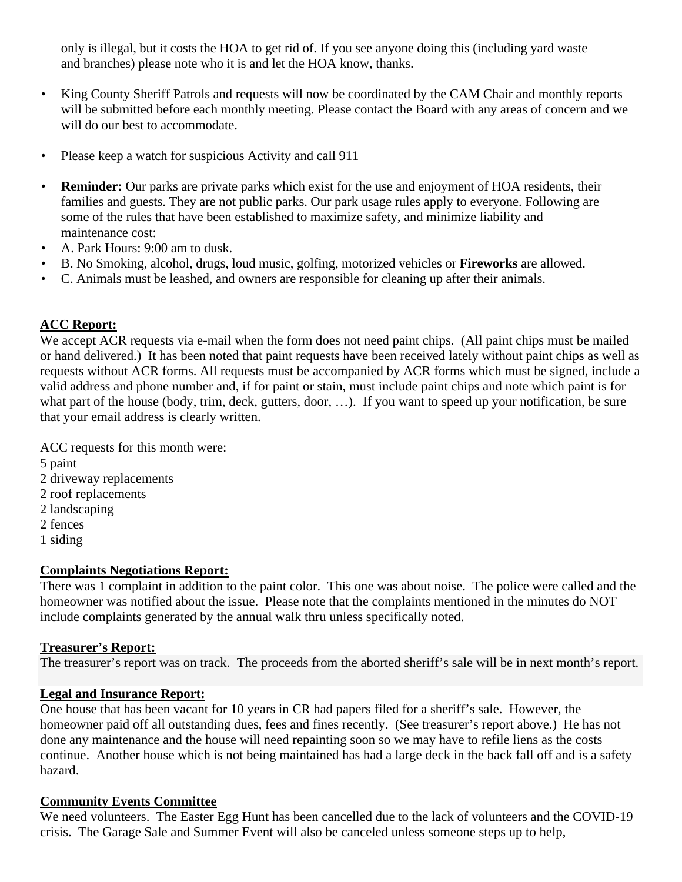only is illegal, but it costs the HOA to get rid of. If you see anyone doing this (including yard waste and branches) please note who it is and let the HOA know, thanks.

- King County Sheriff Patrols and requests will now be coordinated by the CAM Chair and monthly reports will be submitted before each monthly meeting. Please contact the Board with any areas of concern and we will do our best to accommodate.
- Please keep a watch for suspicious Activity and call 911
- **Reminder:** Our parks are private parks which exist for the use and enjoyment of HOA residents, their families and guests. They are not public parks. Our park usage rules apply to everyone. Following are some of the rules that have been established to maximize safety, and minimize liability and maintenance cost:
- A. Park Hours: 9:00 am to dusk.
- B. No Smoking, alcohol, drugs, loud music, golfing, motorized vehicles or **Fireworks** are allowed.
- C. Animals must be leashed, and owners are responsible for cleaning up after their animals.

### **ACC Report:**

We accept ACR requests via e-mail when the form does not need paint chips. (All paint chips must be mailed or hand delivered.) It has been noted that paint requests have been received lately without paint chips as well as requests without ACR forms. All requests must be accompanied by ACR forms which must be signed, include a valid address and phone number and, if for paint or stain, must include paint chips and note which paint is for what part of the house (body, trim, deck, gutters, door, ...). If you want to speed up your notification, be sure that your email address is clearly written.

ACC requests for this month were: 5 paint 2 driveway replacements 2 roof replacements 2 landscaping 2 fences

1 siding

#### **Complaints Negotiations Report:**

There was 1 complaint in addition to the paint color. This one was about noise. The police were called and the homeowner was notified about the issue. Please note that the complaints mentioned in the minutes do NOT include complaints generated by the annual walk thru unless specifically noted.

#### **Treasurer's Report:**

The treasurer's report was on track. The proceeds from the aborted sheriff's sale will be in next month's report.

#### **Legal and Insurance Report:**

One house that has been vacant for 10 years in CR had papers filed for a sheriff's sale. However, the homeowner paid off all outstanding dues, fees and fines recently. (See treasurer's report above.) He has not done any maintenance and the house will need repainting soon so we may have to refile liens as the costs continue. Another house which is not being maintained has had a large deck in the back fall off and is a safety hazard.

#### **Community Events Committee**

We need volunteers. The Easter Egg Hunt has been cancelled due to the lack of volunteers and the COVID-19 crisis. The Garage Sale and Summer Event will also be canceled unless someone steps up to help,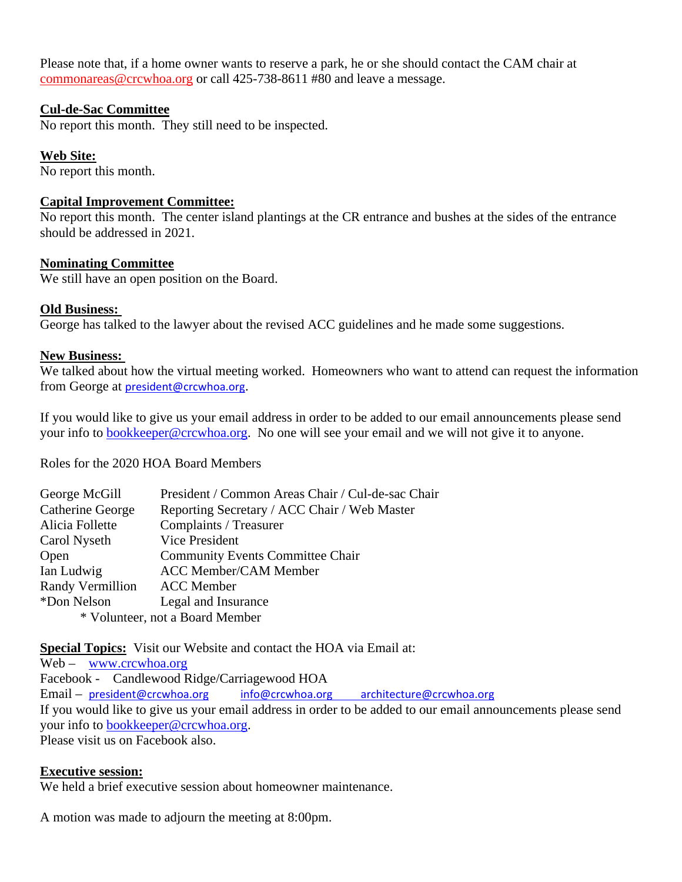Please note that, if a home owner wants to reserve a park, he or she should contact the CAM chair at commonareas@crcwhoa.org or call 425-738-8611 #80 and leave a message.

#### **Cul-de-Sac Committee**

No report this month. They still need to be inspected.

#### **Web Site:**

No report this month.

#### **Capital Improvement Committee:**

No report this month. The center island plantings at the CR entrance and bushes at the sides of the entrance should be addressed in 2021.

#### **Nominating Committee**

We still have an open position on the Board.

#### **Old Business:**

George has talked to the lawyer about the revised ACC guidelines and he made some suggestions.

#### **New Business:**

We talked about how the virtual meeting worked. Homeowners who want to attend can request the information from George at president@crcwhoa.org.

If you would like to give us your email address in order to be added to our email announcements please send your info to bookkeeper@crcwhoa.org. No one will see your email and we will not give it to anyone.

Roles for the 2020 HOA Board Members

| President / Common Areas Chair / Cul-de-sac Chair |  |
|---------------------------------------------------|--|
| Reporting Secretary / ACC Chair / Web Master      |  |
| Complaints / Treasurer                            |  |
| <b>Vice President</b>                             |  |
| <b>Community Events Committee Chair</b>           |  |
| <b>ACC Member/CAM Member</b>                      |  |
| <b>ACC</b> Member                                 |  |
| Legal and Insurance                               |  |
| * Volunteer, not a Board Member                   |  |
|                                                   |  |

**Special Topics:** Visit our Website and contact the HOA via Email at:

Web – www.crcwhoa.org Facebook - Candlewood Ridge/Carriagewood HOA Email – president@crcwhoa.org info@crcwhoa.org architecture@crcwhoa.org If you would like to give us your email address in order to be added to our email announcements please send your info to bookkeeper@crcwhoa.org. Please visit us on Facebook also.

#### **Executive session:**

We held a brief executive session about homeowner maintenance.

A motion was made to adjourn the meeting at 8:00pm.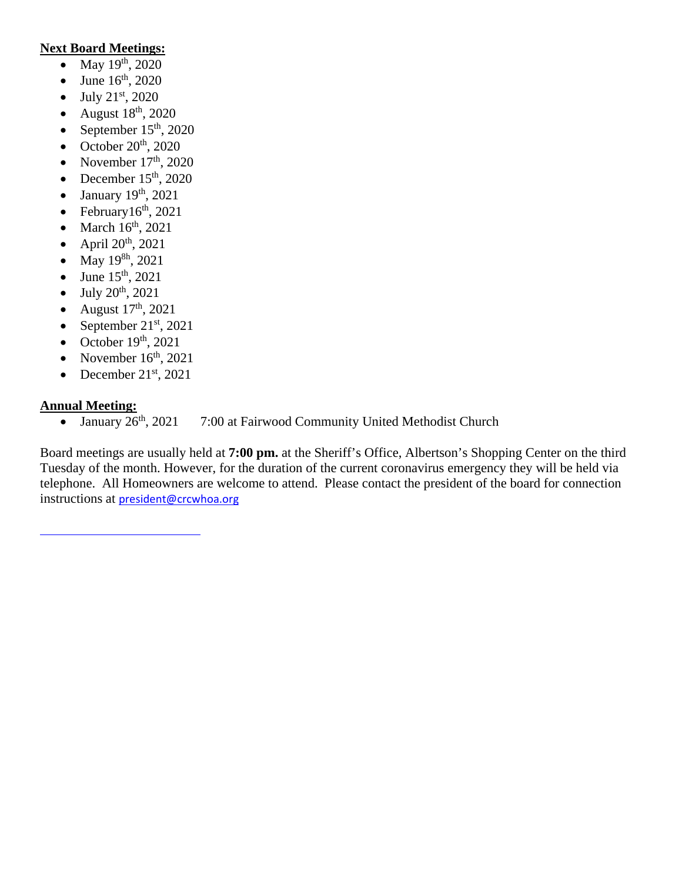#### **Next Board Meetings:**

- May  $19^{th}$ , 2020
- June  $16^{th}$ , 2020
- $\bullet$  July 21<sup>st</sup>, 2020
- August  $18^{th}$ , 2020
- September  $15<sup>th</sup>$ , 2020
- October  $20^{th}$ ,  $2020$
- November  $17<sup>th</sup>$ , 2020
- December  $15<sup>th</sup>$ , 2020
- January 19<sup>th</sup>, 2021
- February $16<sup>th</sup>$ , 2021
- $\bullet$  March  $16<sup>th</sup>$ , 2021
- $\bullet$  April 20<sup>th</sup>, 2021
- May  $19^{8h}$ , 2021
- June  $15^{th}$ , 2021
- $-$  July 20<sup>th</sup>, 2021
- August  $17<sup>th</sup>$ , 2021
- September  $21<sup>st</sup>$ , 2021
- October  $19<sup>th</sup>$ , 2021
- November  $16<sup>th</sup>$ , 2021
- December  $21<sup>st</sup>$ , 2021

#### **Annual Meeting:**

• January  $26<sup>th</sup>$ , 2021 7:00 at Fairwood Community United Methodist Church

Board meetings are usually held at **7:00 pm.** at the Sheriff's Office, Albertson's Shopping Center on the third Tuesday of the month. However, for the duration of the current coronavirus emergency they will be held via telephone. All Homeowners are welcome to attend. Please contact the president of the board for connection instructions at president@crcwhoa.org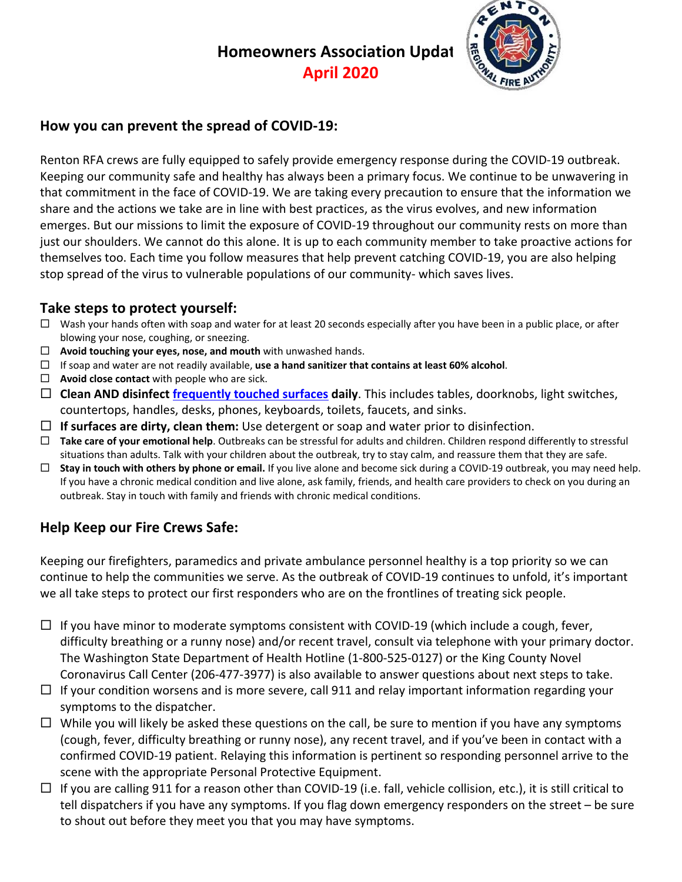# **Homeowners Association Updat**

**April 2020**



# **How you can prevent the spread of COVID‐19:**

Renton RFA crews are fully equipped to safely provide emergency response during the COVID‐19 outbreak. Keeping our community safe and healthy has always been a primary focus. We continue to be unwavering in that commitment in the face of COVID‐19. We are taking every precaution to ensure that the information we share and the actions we take are in line with best practices, as the virus evolves, and new information emerges. But our missions to limit the exposure of COVID-19 throughout our community rests on more than just our shoulders. We cannot do this alone. It is up to each community member to take proactive actions for themselves too. Each time you follow measures that help prevent catching COVID‐19, you are also helping stop spread of the virus to vulnerable populations of our community- which saves lives.

# **Take steps to protect yourself:**

- $\Box$  Wash your hands often with soap and water for at least 20 seconds especially after you have been in a public place, or after blowing your nose, coughing, or sneezing.
- **Avoid touching your eyes, nose, and mouth** with unwashed hands.
- If soap and water are not readily available, **use a hand sanitizer that contains at least 60% alcohol**.
- **Avoid close contact** with people who are sick.
- **Clean AND disinfect frequently touched surfaces daily**. This includes tables, doorknobs, light switches, countertops, handles, desks, phones, keyboards, toilets, faucets, and sinks.
- **If surfaces are dirty, clean them:** Use detergent or soap and water prior to disinfection.
- **Take care of your emotional help**. Outbreaks can be stressful for adults and children. Children respond differently to stressful situations than adults. Talk with your children about the outbreak, try to stay calm, and reassure them that they are safe.
- **Stay in touch with others by phone or email.** If you live alone and become sick during a COVID‐19 outbreak, you may need help. If you have a chronic medical condition and live alone, ask family, friends, and health care providers to check on you during an outbreak. Stay in touch with family and friends with chronic medical conditions.

# **Help Keep our Fire Crews Safe:**

Keeping our firefighters, paramedics and private ambulance personnel healthy is a top priority so we can continue to help the communities we serve. As the outbreak of COVID‐19 continues to unfold, it's important we all take steps to protect our first responders who are on the frontlines of treating sick people.

- $□$  If you have minor to moderate symptoms consistent with COVID-19 (which include a cough, fever, difficulty breathing or a runny nose) and/or recent travel, consult via telephone with your primary doctor. The Washington State Department of Health Hotline (1‐800‐525‐0127) or the King County Novel Coronavirus Call Center (206‐477‐3977) is also available to answer questions about next steps to take.
- $\Box$  If your condition worsens and is more severe, call 911 and relay important information regarding your symptoms to the dispatcher.
- $\Box$  While you will likely be asked these questions on the call, be sure to mention if you have any symptoms (cough, fever, difficulty breathing or runny nose), any recent travel, and if you've been in contact with a confirmed COVID‐19 patient. Relaying this information is pertinent so responding personnel arrive to the scene with the appropriate Personal Protective Equipment.
- $□$  If you are calling 911 for a reason other than COVID-19 (i.e. fall, vehicle collision, etc.), it is still critical to tell dispatchers if you have any symptoms. If you flag down emergency responders on the street – be sure to shout out before they meet you that you may have symptoms.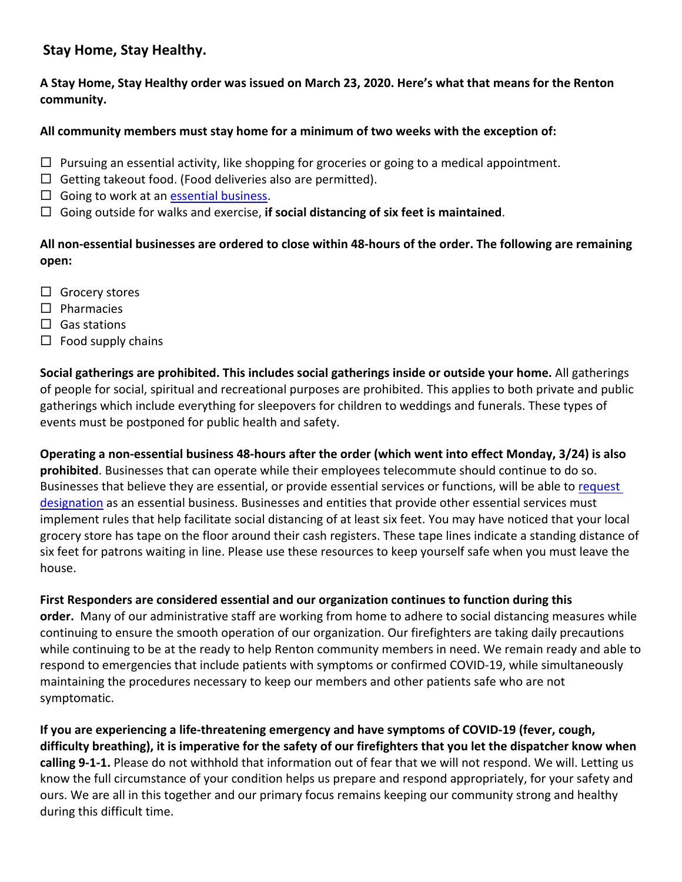## **Stay Home, Stay Healthy.**

A Stay Home, Stay Healthy order was issued on March 23, 2020. Here's what that means for the Renton **community.**

#### **All community members must stay home for a minimum of two weeks with the exception of:**

- $\Box$  Pursuing an essential activity, like shopping for groceries or going to a medical appointment.
- $\Box$  Getting takeout food. (Food deliveries also are permitted).
- $\Box$  Going to work at an essential business.
- Going outside for walks and exercise, **if social distancing of six feet is maintained**.

All non-essential businesses are ordered to close within 48-hours of the order. The following are remaining **open:**

- $\Box$  Grocery stores
- $\square$  Pharmacies
- $\Box$  Gas stations
- $\Box$  Food supply chains

**Social gatherings are prohibited. This includes social gatherings inside or outside your home.** All gatherings of people for social, spiritual and recreational purposes are prohibited. This applies to both private and public gatherings which include everything for sleepovers for children to weddings and funerals. These types of events must be postponed for public health and safety.

Operating a non-essential business 48-hours after the order (which went into effect Monday, 3/24) is also **prohibited**. Businesses that can operate while their employees telecommute should continue to do so. Businesses that believe they are essential, or provide essential services or functions, will be able to request designation as an essential business. Businesses and entities that provide other essential services must implement rules that help facilitate social distancing of at least six feet. You may have noticed that your local grocery store has tape on the floor around their cash registers. These tape lines indicate a standing distance of six feet for patrons waiting in line. Please use these resources to keep yourself safe when you must leave the house.

**First Responders are considered essential and our organization continues to function during this**

**order.** Many of our administrative staff are working from home to adhere to social distancing measures while continuing to ensure the smooth operation of our organization. Our firefighters are taking daily precautions while continuing to be at the ready to help Renton community members in need. We remain ready and able to respond to emergencies that include patients with symptoms or confirmed COVID‐19, while simultaneously maintaining the procedures necessary to keep our members and other patients safe who are not symptomatic.

**If you are experiencing a life‐threatening emergency and have symptoms of COVID‐19 (fever, cough,** difficulty breathing), it is imperative for the safety of our firefighters that you let the dispatcher know when **calling 9‐1‐1.** Please do not withhold that information out of fear that we will not respond. We will. Letting us know the full circumstance of your condition helps us prepare and respond appropriately, for your safety and ours. We are all in this together and our primary focus remains keeping our community strong and healthy during this difficult time.